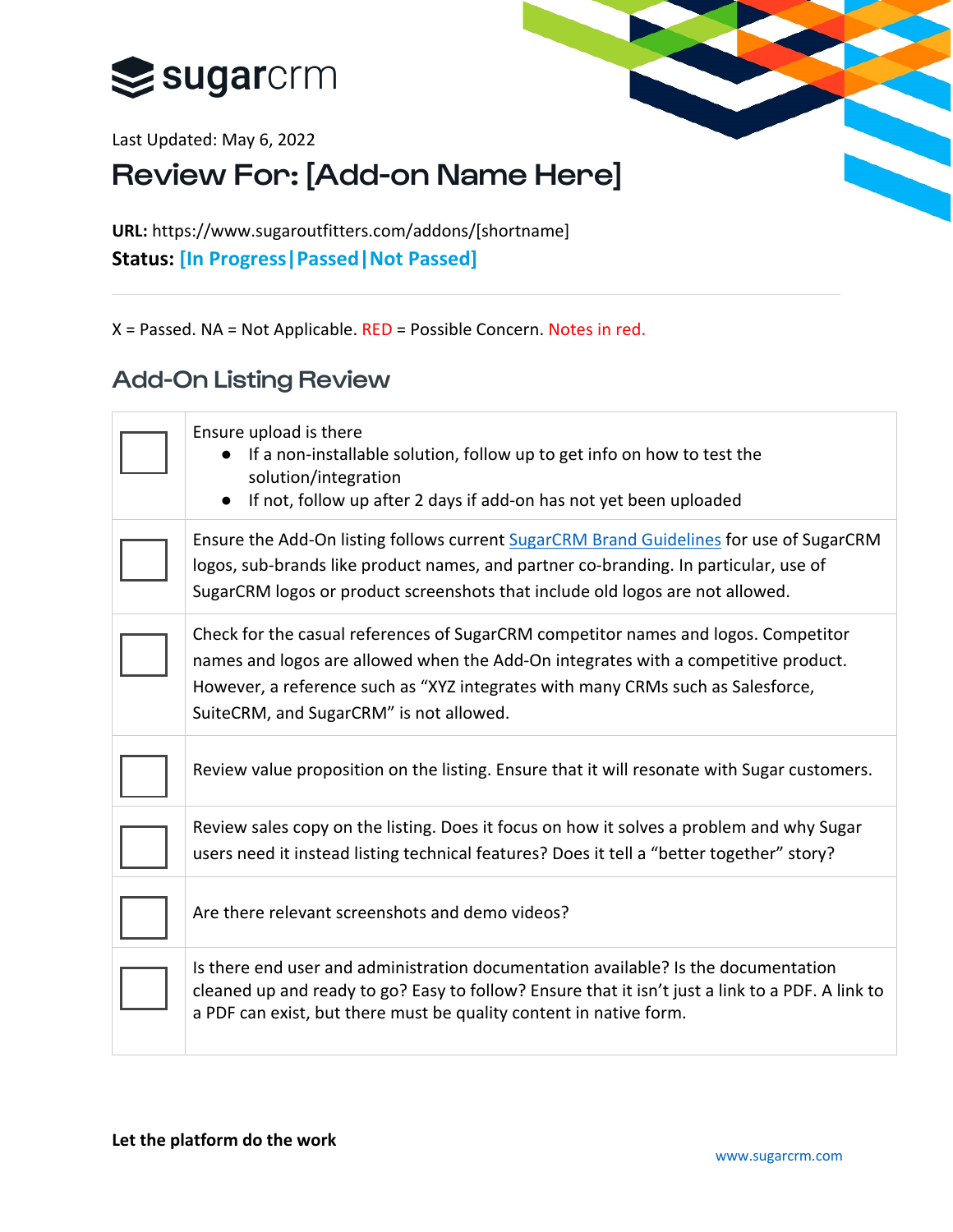

Last Updated: May 6, 2022

## Review For: [Add-on Name Here]

**URL:** https://www.sugaroutfitters.com/addons/[shortname] **Status: [In Progress|Passed|Not Passed]**

X = Passed. NA = Not Applicable. RED = Possible Concern. Notes in red.

## Add-On Listing Review

| Ensure upload is there<br>If a non-installable solution, follow up to get info on how to test the<br>solution/integration<br>If not, follow up after 2 days if add-on has not yet been uploaded                                                                                                        |
|--------------------------------------------------------------------------------------------------------------------------------------------------------------------------------------------------------------------------------------------------------------------------------------------------------|
| Ensure the Add-On listing follows current SugarCRM Brand Guidelines for use of SugarCRM<br>logos, sub-brands like product names, and partner co-branding. In particular, use of<br>SugarCRM logos or product screenshots that include old logos are not allowed.                                       |
| Check for the casual references of SugarCRM competitor names and logos. Competitor<br>names and logos are allowed when the Add-On integrates with a competitive product.<br>However, a reference such as "XYZ integrates with many CRMs such as Salesforce,<br>SuiteCRM, and SugarCRM" is not allowed. |
| Review value proposition on the listing. Ensure that it will resonate with Sugar customers.                                                                                                                                                                                                            |
| Review sales copy on the listing. Does it focus on how it solves a problem and why Sugar<br>users need it instead listing technical features? Does it tell a "better together" story?                                                                                                                  |
| Are there relevant screenshots and demo videos?                                                                                                                                                                                                                                                        |
| Is there end user and administration documentation available? Is the documentation<br>cleaned up and ready to go? Easy to follow? Ensure that it isn't just a link to a PDF. A link to<br>a PDF can exist, but there must be quality content in native form.                                           |